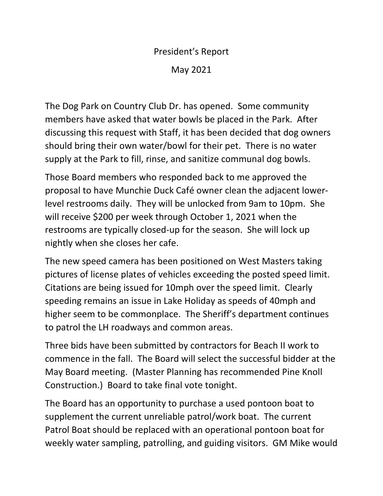## President's Report May 2021

The Dog Park on Country Club Dr. has opened. Some community members have asked that water bowls be placed in the Park. After discussing this request with Staff, it has been decided that dog owners should bring their own water/bowl for their pet. There is no water supply at the Park to fill, rinse, and sanitize communal dog bowls.

Those Board members who responded back to me approved the proposal to have Munchie Duck Café owner clean the adjacent lowerlevel restrooms daily. They will be unlocked from 9am to 10pm. She will receive \$200 per week through October 1, 2021 when the restrooms are typically closed-up for the season. She will lock up nightly when she closes her cafe.

The new speed camera has been positioned on West Masters taking pictures of license plates of vehicles exceeding the posted speed limit. Citations are being issued for 10mph over the speed limit. Clearly speeding remains an issue in Lake Holiday as speeds of 40mph and higher seem to be commonplace. The Sheriff's department continues to patrol the LH roadways and common areas.

Three bids have been submitted by contractors for Beach II work to commence in the fall. The Board will select the successful bidder at the May Board meeting. (Master Planning has recommended Pine Knoll Construction.) Board to take final vote tonight.

The Board has an opportunity to purchase a used pontoon boat to supplement the current unreliable patrol/work boat. The current Patrol Boat should be replaced with an operational pontoon boat for weekly water sampling, patrolling, and guiding visitors. GM Mike would